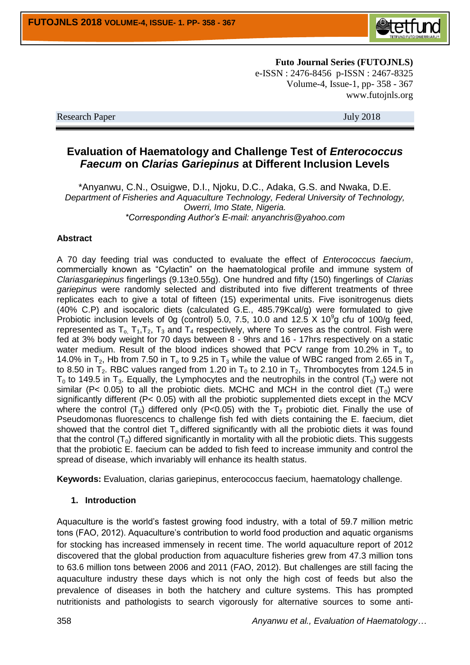

**Futo Journal Series (FUTOJNLS)** e-ISSN : 2476-8456 p-ISSN : 2467-8325 Volume-4, Issue-1, pp- 358 - 367 www.futojnls.org

Research Paper July 2018

# **Evaluation of Haematology and Challenge Test of** *Enterococcus Faecum* **on** *Clarias Gariepinus* **at Different Inclusion Levels**

\*Anyanwu, C.N., Osuigwe, D.I., Njoku, D.C., Adaka, G.S. and Nwaka, D.E. *Department of Fisheries and Aquaculture Technology, Federal University of Technology, Owerri, Imo State, Nigeria. \*Corresponding Author's E-mail: anyanchris@yahoo.com*

#### **Abstract**

A 70 day feeding trial was conducted to evaluate the effect of *Enterococcus faecium*, commercially known as "Cylactin" on the haematological profile and immune system of *Clariasgariepinus* fingerlings (9.13±0.55g). One hundred and fifty (150) fingerlings of *Clarias gariepinus* were randomly selected and distributed into five different treatments of three replicates each to give a total of fifteen (15) experimental units. Five isonitrogenus diets (40% C.P) and isocaloric diets (calculated G.E., 485.79Kcal/g) were formulated to give Probiotic inclusion levels of 0g (control) 5.0, 7.5, 10.0 and 12.5  $\times$  10<sup>9</sup>g cfu of 100/g feed, represented as  $T_0$ ,  $T_1, T_2, T_3$  and  $T_4$  respectively, where To serves as the control. Fish were fed at 3% body weight for 70 days between 8 - 9hrs and 16 - 17hrs respectively on a static water medium. Result of the blood indices showed that PCV range from 10.2% in  $T_0$  to 14.0% in T<sub>2</sub>, Hb from 7.50 in T<sub>0</sub> to 9.25 in T<sub>3</sub> while the value of WBC ranged from 2.65 in T<sub>0</sub> to 8.50 in T<sub>2</sub>. RBC values ranged from 1.20 in T<sub>0</sub> to 2.10 in T<sub>2</sub>. Thrombocytes from 124.5 in  $T_0$  to 149.5 in T<sub>3</sub>. Equally, the Lymphocytes and the neutrophils in the control (T<sub>0</sub>) were not similar (P< 0.05) to all the probiotic diets. MCHC and MCH in the control diet  $(T_0)$  were significantly different (P< 0.05) with all the probiotic supplemented diets except in the MCV where the control  $(T_0)$  differed only (P<0.05) with the  $T_2$  probiotic diet. Finally the use of Pseudomonas fluorescencs to challenge fish fed with diets containing the E. faecium, diet showed that the control diet  $T_0$  differed significantly with all the probiotic diets it was found that the control  $(T_0)$  differed significantly in mortality with all the probiotic diets. This suggests that the probiotic E. faecium can be added to fish feed to increase immunity and control the spread of disease, which invariably will enhance its health status.

**Keywords:** Evaluation, clarias gariepinus, enterococcus faecium, haematology challenge.

### **1. Introduction**

Aquaculture is the world's fastest growing food industry, with a total of 59.7 million metric tons (FAO, 2012). Aquaculture's contribution to world food production and aquatic organisms for stocking has increased immensely in recent time. The world aquaculture report of 2012 discovered that the global production from aquaculture fisheries grew from 47.3 million tons to 63.6 million tons between 2006 and 2011 (FAO, 2012). But challenges are still facing the aquaculture industry these days which is not only the high cost of feeds but also the prevalence of diseases in both the hatchery and culture systems. This has prompted nutritionists and pathologists to search vigorously for alternative sources to some anti-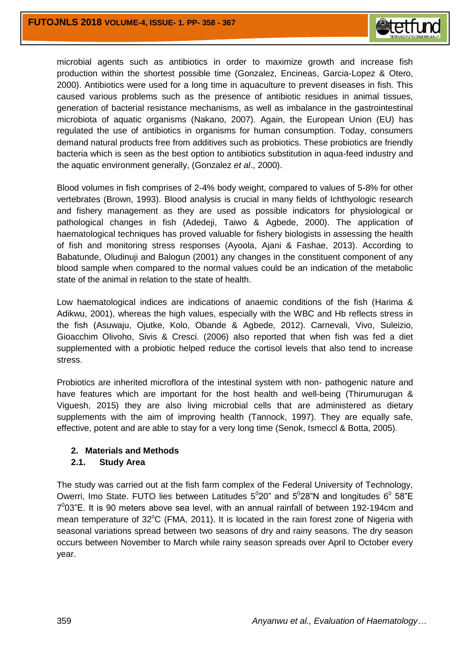

microbial agents such as antibiotics in order to maximize growth and increase fish production within the shortest possible time (Gonzalez, Encineas, Garcia-Lopez & Otero, 2000). Antibiotics were used for a long time in aquaculture to prevent diseases in fish. This caused various problems such as the presence of antibiotic residues in animal tissues, generation of bacterial resistance mechanisms, as well as imbalance in the gastrointestinal microbiota of aquatic organisms (Nakano, 2007). Again, the European Union (EU) has regulated the use of antibiotics in organisms for human consumption. Today, consumers demand natural products free from additives such as probiotics. These probiotics are friendly bacteria which is seen as the best option to antibiotics substitution in aqua-feed industry and the aquatic environment generally, (Gonzalez *et al*., 2000).

Blood volumes in fish comprises of 2-4% body weight, compared to values of 5-8% for other vertebrates (Brown, 1993). Blood analysis is crucial in many fields of Ichthyologic research and fishery management as they are used as possible indicators for physiological or pathological changes in fish (Adedeji, Taiwo & Agbede, 2000). The application of haematological techniques has proved valuable for fishery biologists in assessing the health of fish and monitoring stress responses (Ayoola, Ajani & Fashae, 2013). According to Babatunde, Oludinuji and Balogun (2001) any changes in the constituent component of any blood sample when compared to the normal values could be an indication of the metabolic state of the animal in relation to the state of health.

Low haematological indices are indications of anaemic conditions of the fish (Harima & Adikwu, 2001), whereas the high values, especially with the WBC and Hb reflects stress in the fish (Asuwaju, Ojutke, Kolo, Obande & Agbede, 2012). Carnevali, Vivo, Suleizio, Gioacchim Olivoho, Sivis & Cresci. (2006) also reported that when fish was fed a diet supplemented with a probiotic helped reduce the cortisol levels that also tend to increase stress.

Probiotics are inherited microflora of the intestinal system with non- pathogenic nature and have features which are important for the host health and well-being (Thirumurugan & Viguesh, 2015) they are also living microbial cells that are administered as dietary supplements with the aim of improving health (Tannock, 1997). They are equally safe, effective, potent and are able to stay for a very long time (Senok, Ismeccl & Botta, 2005).

#### **2. Materials and Methods**

#### **2.1. Study Area**

The study was carried out at the fish farm complex of the Federal University of Technology, Owerri, Imo State. FUTO lies between Latitudes  $5^{\circ}20^{\circ}$  and  $5^{\circ}28^{\circ}N$  and longitudes  $6^{\circ}$  58"E  $7^0$ 03"E. It is 90 meters above sea level, with an annual rainfall of between 192-194cm and mean temperature of  $32^{\circ}$ C (FMA, 2011). It is located in the rain forest zone of Nigeria with seasonal variations spread between two seasons of dry and rainy seasons. The dry season occurs between November to March while rainy season spreads over April to October every year.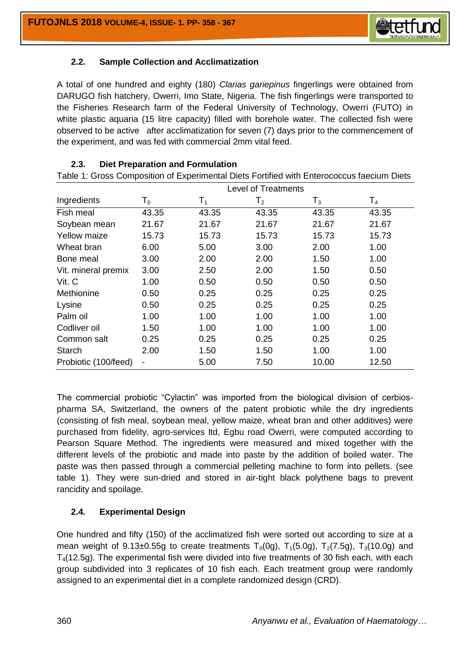

## **2.2. Sample Collection and Acclimatization**

A total of one hundred and eighty (180) *Clarias gariepinus* fingerlings were obtained from DARUGO fish hatchery, Owerri, Imo State, Nigeria. The fish fingerlings were transported to the Fisheries Research farm of the Federal University of Technology, Owerri (FUTO) in white plastic aquaria (15 litre capacity) filled with borehole water. The collected fish were observed to be active after acclimatization for seven (7) days prior to the commencement of the experiment, and was fed with commercial 2mm vital feed.

| Table 1: Gross Composition of Experimental Diets Fortified with Enterococcus faecium Diets |                            |       |                |                |                |  |
|--------------------------------------------------------------------------------------------|----------------------------|-------|----------------|----------------|----------------|--|
|                                                                                            | <b>Level of Treatments</b> |       |                |                |                |  |
| Ingredients                                                                                | $\mathsf{T}_0$             | $T_1$ | $\mathsf{T}_2$ | $\mathsf{T}_3$ | $\mathsf{T}_4$ |  |
| Fish meal                                                                                  | 43.35                      | 43.35 | 43.35          | 43.35          | 43.35          |  |
| Soybean mean                                                                               | 21.67                      | 21.67 | 21.67          | 21.67          | 21.67          |  |
| <b>Yellow maize</b>                                                                        | 15.73                      | 15.73 | 15.73          | 15.73          | 15.73          |  |
| Wheat bran                                                                                 | 6.00                       | 5.00  | 3.00           | 2.00           | 1.00           |  |
| Bone meal                                                                                  | 3.00                       | 2.00  | 2.00           | 1.50           | 1.00           |  |
| Vit. mineral premix                                                                        | 3.00                       | 2.50  | 2.00           | 1.50           | 0.50           |  |
| Vit. C                                                                                     | 1.00                       | 0.50  | 0.50           | 0.50           | 0.50           |  |
| Methionine                                                                                 | 0.50                       | 0.25  | 0.25           | 0.25           | 0.25           |  |
| Lysine                                                                                     | 0.50                       | 0.25  | 0.25           | 0.25           | 0.25           |  |
| Palm oil                                                                                   | 1.00                       | 1.00  | 1.00           | 1.00           | 1.00           |  |
| Codliver oil                                                                               | 1.50                       | 1.00  | 1.00           | 1.00           | 1.00           |  |
| Common salt                                                                                | 0.25                       | 0.25  | 0.25           | 0.25           | 0.25           |  |
| Starch                                                                                     | 2.00                       | 1.50  | 1.50           | 1.00           | 1.00           |  |
| Probiotic (100/feed)                                                                       | $\overline{\phantom{0}}$   | 5.00  | 7.50           | 10.00          | 12.50          |  |

### **2.3. Diet Preparation and Formulation**

 $\Sigma_{\text{max}}$   $\Gamma_{\text{max}}$   $\Gamma_{\text{max}}$   $\Gamma_{\text{max}}$   $\Gamma_{\text{max}}$   $\Gamma_{\text{max}}$   $\Gamma_{\text{max}}$ 

The commercial probiotic "Cylactin" was imported from the biological division of cerbiospharma SA, Switzerland, the owners of the patent probiotic while the dry ingredients (consisting of fish meal, soybean meal, yellow maize, wheat bran and other additives) were purchased from fidelity, agro-services ltd, Egbu road Owerri, were computed according to Pearson Square Method. The ingredients were measured and mixed together with the different levels of the probiotic and made into paste by the addition of boiled water. The paste was then passed through a commercial pelleting machine to form into pellets. (see table 1). They were sun-dried and stored in air-tight black polythene bags to prevent rancidity and spoilage.

#### **2.4. Experimental Design**

One hundred and fifty (150) of the acclimatized fish were sorted out according to size at a mean weight of 9.13±0.55g to create treatments  $T_0(0g)$ ,  $T_1(5.0g)$ ,  $T_2(7.5g)$ ,  $T_3(10.0g)$  and  $T<sub>4</sub>(12.5q)$ . The experimental fish were divided into five treatments of 30 fish each, with each group subdivided into 3 replicates of 10 fish each. Each treatment group were randomly assigned to an experimental diet in a complete randomized design (CRD).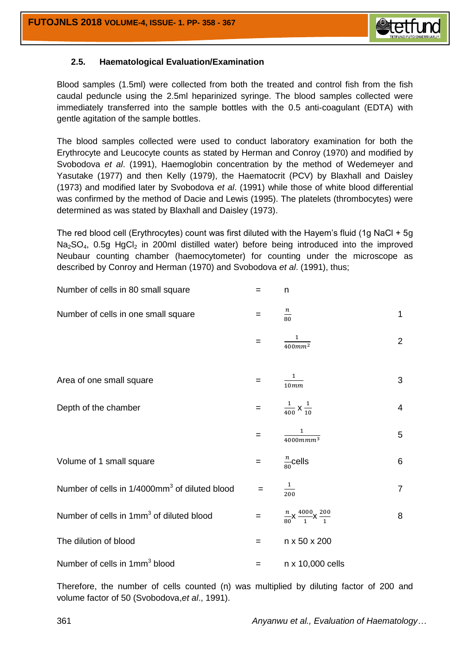

## **2.5. Haematological Evaluation/Examination**

Blood samples (1.5ml) were collected from both the treated and control fish from the fish caudal peduncle using the 2.5ml heparinized syringe. The blood samples collected were immediately transferred into the sample bottles with the 0.5 anti-coagulant (EDTA) with gentle agitation of the sample bottles.

The blood samples collected were used to conduct laboratory examination for both the Erythrocyte and Leucocyte counts as stated by Herman and Conroy (1970) and modified by Svobodova *et al*. (1991), Haemoglobin concentration by the method of Wedemeyer and Yasutake (1977) and then Kelly (1979), the Haematocrit (PCV) by Blaxhall and Daisley (1973) and modified later by Svobodova *et al*. (1991) while those of white blood differential was confirmed by the method of Dacie and Lewis (1995). The platelets (thrombocytes) were determined as was stated by Blaxhall and Daisley (1973).

The red blood cell (Erythrocytes) count was first diluted with the Hayem's fluid (1g NaCl + 5g  $Na<sub>2</sub>SO<sub>4</sub>$ , 0.5g HgCl<sub>2</sub> in 200ml distilled water) before being introduced into the improved Neubaur counting chamber (haemocytometer) for counting under the microscope as described by Conroy and Herman (1970) and Svobodova *et al*. (1991), thus;

| Number of cells in 80 small square                        | =   | n                                                   |                |
|-----------------------------------------------------------|-----|-----------------------------------------------------|----------------|
| Number of cells in one small square                       | $=$ | $\frac{n}{80}$                                      | $\mathbf 1$    |
|                                                           | =   | 1<br>$\frac{400mm^2}{ }$                            | $\overline{2}$ |
| Area of one small square                                  | =   | $\mathbf{1}$<br>$\frac{10mm}{10mm}$                 | 3              |
| Depth of the chamber                                      | $=$ | $rac{1}{400}$ X $rac{1}{10}$                        | $\overline{4}$ |
|                                                           | =   | $\frac{1}{4000mmm^3}$                               | 5              |
| Volume of 1 small square                                  | $=$ | $\frac{n}{80}$ cells                                | 6              |
| Number of cells in 1/4000mm <sup>3</sup> of diluted blood | $=$ | $\frac{1}{200}$                                     | $\overline{7}$ |
| Number of cells in 1mm <sup>3</sup> of diluted blood      | $=$ | $\frac{n}{80}$ X $\frac{4000}{1}$ X $\frac{200}{1}$ | 8              |
| The dilution of blood                                     | $=$ | n x 50 x 200                                        |                |
| Number of cells in 1mm <sup>3</sup> blood                 | =   | n x 10,000 cells                                    |                |

Therefore, the number of cells counted (n) was multiplied by diluting factor of 200 and volume factor of 50 (Svobodova,*et al*., 1991).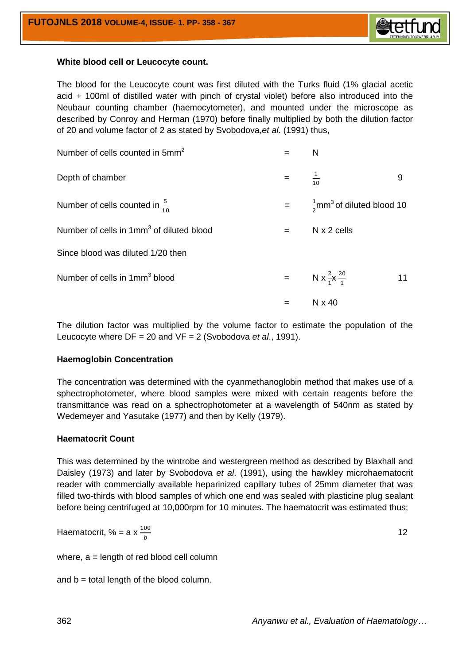

#### **White blood cell or Leucocyte count.**

The blood for the Leucocyte count was first diluted with the Turks fluid (1% glacial acetic acid + 100ml of distilled water with pinch of crystal violet) before also introduced into the Neubaur counting chamber (haemocytometer), and mounted under the microscope as described by Conroy and Herman (1970) before finally multiplied by both the dilution factor of 20 and volume factor of 2 as stated by Svobodova,*et al*. (1991) thus,

| Number of cells counted in 5mm <sup>2</sup>          |     | N                                                 |    |
|------------------------------------------------------|-----|---------------------------------------------------|----|
| Depth of chamber                                     | $=$ | $\frac{1}{10}$                                    | 9  |
| Number of cells counted in $\frac{5}{10}$            | $=$ | $\frac{1}{2}$ mm <sup>3</sup> of diluted blood 10 |    |
| Number of cells in 1mm <sup>3</sup> of diluted blood | $=$ | $N \times 2$ cells                                |    |
| Since blood was diluted 1/20 then                    |     |                                                   |    |
| Number of cells in 1mm <sup>3</sup> blood            | $=$ | N x $\frac{2}{1}$ x $\frac{20}{1}$                | 11 |
|                                                      |     | N x 40                                            |    |

The dilution factor was multiplied by the volume factor to estimate the population of the Leucocyte where DF = 20 and VF = 2 (Svobodova *et al*., 1991).

#### **Haemoglobin Concentration**

The concentration was determined with the cyanmethanoglobin method that makes use of a sphectrophotometer, where blood samples were mixed with certain reagents before the transmittance was read on a sphectrophotometer at a wavelength of 540nm as stated by Wedemeyer and Yasutake (1977) and then by Kelly (1979).

#### **Haematocrit Count**

This was determined by the wintrobe and westergreen method as described by Blaxhall and Daisley (1973) and later by Svobodova *et al*. (1991), using the hawkley microhaematocrit reader with commercially available heparinized capillary tubes of 25mm diameter that was filled two-thirds with blood samples of which one end was sealed with plasticine plug sealant before being centrifuged at 10,000rpm for 10 minutes. The haematocrit was estimated thus;

Haematocrit, % = a x  $\frac{10}{b}$ 

12

where,  $a =$  length of red blood cell column

and  $b =$  total length of the blood column.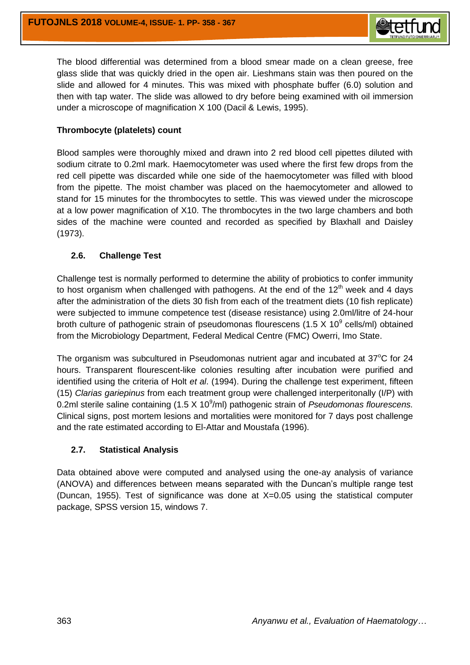

The blood differential was determined from a blood smear made on a clean greese, free glass slide that was quickly dried in the open air. Lieshmans stain was then poured on the slide and allowed for 4 minutes. This was mixed with phosphate buffer (6.0) solution and then with tap water. The slide was allowed to dry before being examined with oil immersion under a microscope of magnification X 100 (Dacil & Lewis, 1995).

### **Thrombocyte (platelets) count**

Blood samples were thoroughly mixed and drawn into 2 red blood cell pipettes diluted with sodium citrate to 0.2ml mark. Haemocytometer was used where the first few drops from the red cell pipette was discarded while one side of the haemocytometer was filled with blood from the pipette. The moist chamber was placed on the haemocytometer and allowed to stand for 15 minutes for the thrombocytes to settle. This was viewed under the microscope at a low power magnification of X10. The thrombocytes in the two large chambers and both sides of the machine were counted and recorded as specified by Blaxhall and Daisley (1973).

### **2.6. Challenge Test**

Challenge test is normally performed to determine the ability of probiotics to confer immunity to host organism when challenged with pathogens. At the end of the  $12<sup>th</sup>$  week and 4 days after the administration of the diets 30 fish from each of the treatment diets (10 fish replicate) were subjected to immune competence test (disease resistance) using 2.0ml/litre of 24-hour broth culture of pathogenic strain of pseudomonas flourescens (1.5  $\times$  10<sup>9</sup> cells/ml) obtained from the Microbiology Department, Federal Medical Centre (FMC) Owerri, Imo State.

The organism was subcultured in Pseudomonas nutrient agar and incubated at  $37^{\circ}$ C for 24 hours. Transparent flourescent-like colonies resulting after incubation were purified and identified using the criteria of Holt *et al*. (1994). During the challenge test experiment, fifteen (15) *Clarias gariepinus* from each treatment group were challenged interperitonally (I/P) with 0.2ml sterile saline containing (1.5 X 10<sup>9</sup>/ml) pathogenic strain of *Pseudomonas flourescens.* Clinical signs, post mortem lesions and mortalities were monitored for 7 days post challenge and the rate estimated according to El-Attar and Moustafa (1996).

#### **2.7. Statistical Analysis**

Data obtained above were computed and analysed using the one-ay analysis of variance (ANOVA) and differences between means separated with the Duncan's multiple range test (Duncan, 1955). Test of significance was done at X=0.05 using the statistical computer package, SPSS version 15, windows 7.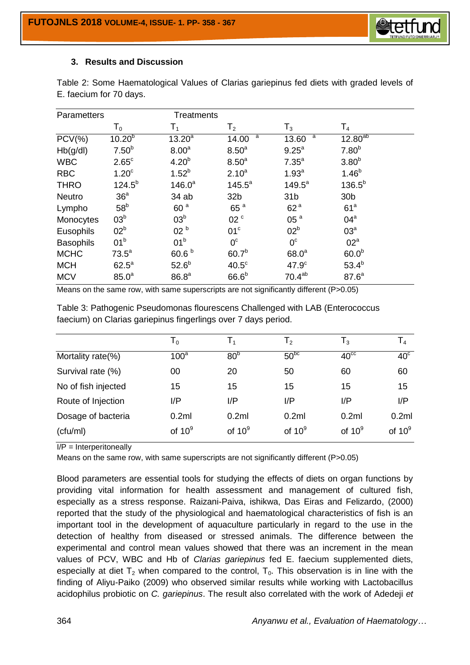

#### **3. Results and Discussion**

| Parametters      |                   | <b>Treatments</b> |                   |                    |                   |
|------------------|-------------------|-------------------|-------------------|--------------------|-------------------|
|                  | $\mathsf{T}_0$    | T <sub>1</sub>    | T <sub>2</sub>    | $\mathsf{T}_3$     | T <sub>4</sub>    |
| $PCV(\% )$       | $10.20^{b}$       | $13.20^a$         | a<br>14.00        | a<br>13.60         | $12.80^{ab}$      |
| Hb(g/dl)         | 7.50 <sup>b</sup> | 8.00 <sup>a</sup> | 8.50 <sup>a</sup> | $9.25^{a}$         | $7.80^{b}$        |
| <b>WBC</b>       | $2.65^{\circ}$    | 4.20 <sup>b</sup> | 8.50 <sup>a</sup> | 7.35 <sup>a</sup>  | 3.80 <sup>b</sup> |
| <b>RBC</b>       | 1.20 <sup>c</sup> | $1.52^{b}$        | $2.10^{a}$        | 1.93 <sup>a</sup>  | $1.46^{b}$        |
| <b>THRO</b>      | $124.5^{b}$       | $146.0^a$         | $145.5^a$         | $149.5^a$          | $136.5^{b}$       |
| Neutro           | 36 <sup>a</sup>   | 34 ab             | 32 <sub>b</sub>   | 31 <sub>b</sub>    | 30 <sub>b</sub>   |
| Lympho           | 58 <sup>b</sup>   | 60 <sup>a</sup>   | 65 <sup>a</sup>   | 62 <sup>a</sup>    | 61 <sup>a</sup>   |
| Monocytes        | 03 <sup>b</sup>   | 03 <sup>b</sup>   | 02 <sup>c</sup>   | 05 <sup>a</sup>    | $04^a$            |
| Eusophils        | 02 <sup>b</sup>   | 02 <sup>b</sup>   | 01 <sup>c</sup>   | 02 <sup>b</sup>    | 03 <sup>a</sup>   |
| <b>Basophils</b> | 01 <sup>b</sup>   | 01 <sup>b</sup>   | $0^{\circ}$       | $0^{\circ}$        | 02 <sup>a</sup>   |
| <b>MCHC</b>      | $73.5^a$          | 60.6 <sup>b</sup> | 60.7 <sup>b</sup> | 68.0 <sup>a</sup>  | 60.0 <sup>b</sup> |
| <b>MCH</b>       | $62.5^a$          | 52.6 <sup>b</sup> | 40.5 <sup>c</sup> | 47.9 <sup>c</sup>  | $53.4^{b}$        |
| <b>MCV</b>       | 85.0 <sup>a</sup> | 86.8 <sup>a</sup> | 66.6 <sup>b</sup> | 70.4 <sup>ab</sup> | 87.6 <sup>a</sup> |

Table 2: Some Haematological Values of Clarias gariepinus fed diets with graded levels of E. faecium for 70 days.

Means on the same row, with same superscripts are not significantly different (P>0.05)

Table 3: Pathogenic Pseudomonas flourescens Challenged with LAB (Enterococcus faecium) on Clarias gariepinus fingerlings over 7 days period.

|                     | T <sub>0</sub>   | T,              | $\mathsf{T}_2$ | $\mathsf{T}_3$   | $\mathsf{T}_4$          |
|---------------------|------------------|-----------------|----------------|------------------|-------------------------|
| Mortality rate(%)   | 100 <sup>a</sup> | 80 <sup>b</sup> | $50^{bc}$      | 40 <sup>cc</sup> | $\overline{40}^{\circ}$ |
| Survival rate (%)   | 00               | 20              | 50             | 60               | 60                      |
| No of fish injected | 15               | 15              | 15             | 15               | 15                      |
| Route of Injection  | I/P              | I/P             | I/P            | I/P              | I/P                     |
| Dosage of bacteria  | 0.2ml            | 0.2ml           | 0.2ml          | 0.2ml            | 0.2ml                   |
| (ctw/ml)            | of $10^9$        | of $10^9$       | of $10^9$      | of $10^9$        | of $10^9$               |

 $I/P =$  Interperitoneally

Means on the same row, with same superscripts are not significantly different  $(P>0.05)$ 

Blood parameters are essential tools for studying the effects of diets on organ functions by providing vital information for health assessment and management of cultured fish, especially as a stress response. Raizani-Paiva, ishikwa, Das Eiras and Felizardo, (2000) reported that the study of the physiological and haematological characteristics of fish is an important tool in the development of aquaculture particularly in regard to the use in the detection of healthy from diseased or stressed animals. The difference between the experimental and control mean values showed that there was an increment in the mean values of PCV, WBC and Hb of *Clarias gariepinus* fed E. faecium supplemented diets, especially at diet  $T_2$  when compared to the control,  $T_0$ . This observation is in line with the finding of Aliyu-Paiko (2009) who observed similar results while working with Lactobacillus acidophilus probiotic on *C. gariepinus*. The result also correlated with the work of Adedeji *et*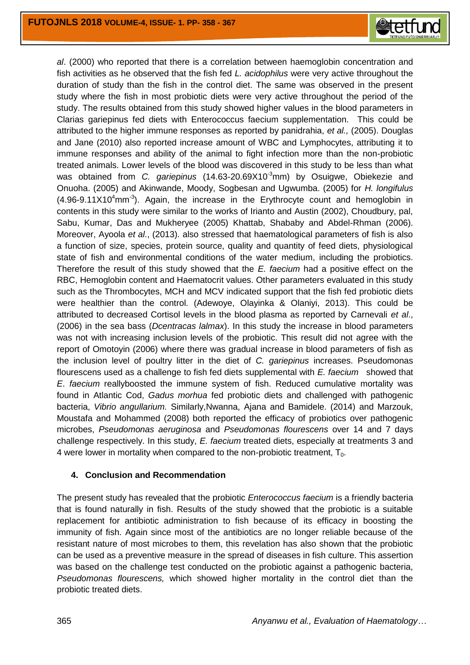

*al*. (2000) who reported that there is a correlation between haemoglobin concentration and fish activities as he observed that the fish fed *L. acidophilus* were very active throughout the duration of study than the fish in the control diet. The same was observed in the present study where the fish in most probiotic diets were very active throughout the period of the study. The results obtained from this study showed higher values in the blood parameters in Clarias gariepinus fed diets with Enterococcus faecium supplementation. This could be attributed to the higher immune responses as reported by panidrahia, *et al.,* (2005). Douglas and Jane (2010) also reported increase amount of WBC and Lymphocytes, attributing it to immune responses and ability of the animal to fight infection more than the non-probiotic treated animals. Lower levels of the blood was discovered in this study to be less than what was obtained from *C. gariepinus* (14.63-20.69X10<sup>-3</sup>mm) by Osuigwe, Obiekezie and Onuoha. (2005) and Akinwande, Moody, Sogbesan and Ugwumba. (2005) for *H. longifulus*  $(4.96-9.11X10<sup>4</sup>$ mm<sup>-3</sup>). Again, the increase in the Erythrocyte count and hemoglobin in contents in this study were similar to the works of Irianto and Austin (2002), Choudbury, pal, Sabu, Kumar, Das and Mukheryee (2005) Khattab, Shababy and Abdel-Rhman (2006). Moreover, Ayoola *et al*., (2013). also stressed that haematological parameters of fish is also a function of size, species, protein source, quality and quantity of feed diets, physiological state of fish and environmental conditions of the water medium, including the probiotics. Therefore the result of this study showed that the *E. faecium* had a positive effect on the RBC, Hemoglobin content and Haematocrit values. Other parameters evaluated in this study such as the Thrombocytes, MCH and MCV indicated support that the fish fed probiotic diets were healthier than the control. (Adewoye, Olayinka & Olaniyi, 2013). This could be attributed to decreased Cortisol levels in the blood plasma as reported by Carnevali *et al*., (2006) in the sea bass (*Dcentracas lalmax*). In this study the increase in blood parameters was not with increasing inclusion levels of the probiotic. This result did not agree with the report of Omotoyin (2006) where there was gradual increase in blood parameters of fish as the inclusion level of poultry litter in the diet of *C. gariepinus* increases. Pseudomonas flourescens used as a challenge to fish fed diets supplemental with *E. faecium* showed that *E*. *faecium* reallyboosted the immune system of fish. Reduced cumulative mortality was found in Atlantic Cod, *Gadus morhua* fed probiotic diets and challenged with pathogenic bacteria, *Vibrio angullarium.* Similarly,Nwanna, Ajana and Bamidele. (2014) and Marzouk, Moustafa and Mohammed (2008) both reported the efficacy of probiotics over pathogenic microbes, *Pseudomonas aeruginosa* and *Pseudomonas flourescens* over 14 and 7 days challenge respectively. In this study, *E. faecium* treated diets, especially at treatments 3 and 4 were lower in mortality when compared to the non-probiotic treatment,  $T_0$ .

#### **4. Conclusion and Recommendation**

The present study has revealed that the probiotic *Enterococcus faecium* is a friendly bacteria that is found naturally in fish. Results of the study showed that the probiotic is a suitable replacement for antibiotic administration to fish because of its efficacy in boosting the immunity of fish. Again since most of the antibiotics are no longer reliable because of the resistant nature of most microbes to them, this revelation has also shown that the probiotic can be used as a preventive measure in the spread of diseases in fish culture. This assertion was based on the challenge test conducted on the probiotic against a pathogenic bacteria, *Pseudomonas flourescens,* which showed higher mortality in the control diet than the probiotic treated diets.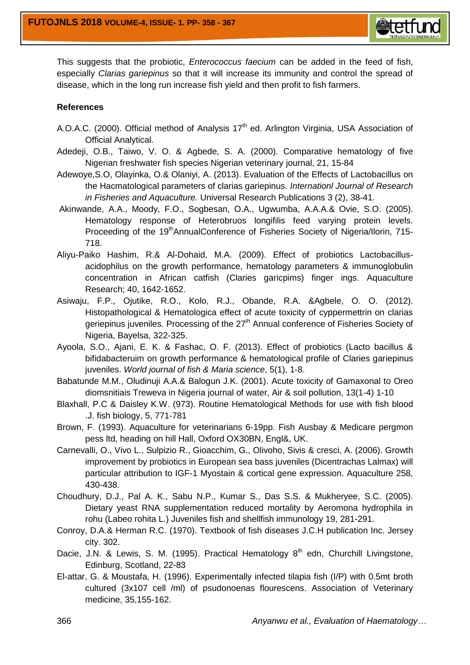

This suggests that the probiotic, *Enterococcus faecium* can be added in the feed of fish, especially *Clarias gariepinus* so that it will increase its immunity and control the spread of disease, which in the long run increase fish yield and then profit to fish farmers.

#### **References**

- A.O.A.C. (2000). Official method of Analysis 17<sup>th</sup> ed. Arlington Virginia, USA Association of Official Analytical.
- Adedeji, O.B., Taiwo, V. O. & Agbede, S. A. (2000). Comparative hematology of five Nigerian freshwater fish species Nigerian veterinary journal, 21, 15-84
- Adewoye,S.O, Olayinka, O.& Olaniyi, A. (2013). Evaluation of the Effects of Lactobacillus on the Hacmatological parameters of clarias gariepinus. *Internationl Journal of Research in Fisheries and Aquaculture.* Universal Research Publications 3 (2), 38-41.
- Akinwande, A.A., Moody, F.O., Sogbesan, O.A., Ugwumba, A.A.A.& Ovie, S.O. (2005). Hematology response of Heterobruos longifilis feed varying protein levels. Proceeding of the 19<sup>th</sup>AnnualConference of Fisheries Society of Nigeria/Ilorin, 715-718.
- Aliyu-Paiko Hashim, R.& Al-Dohaid, M.A. (2009). Effect of probiotics Lactobacillusacidophilus on the growth performance, hematology parameters & immunoglobulin concentration in African catfish (Claries garicpims) finger ings. Aquaculture Research; 40, 1642-1652.
- Asiwaju, F.P., Ojutike, R.O., Kolo, R.J., Obande, R.A. &Agbele, O. O. (2012). Histopathological & Hematologica effect of acute toxicity of cyppermettrin on clarias geriepinus juveniles. Processing of the 27<sup>th</sup> Annual conference of Fisheries Society of Nigeria, Bayelsa, 322-325.
- Ayoola, S.O., Ajani, E. K. & Fashac, O. F. (2013). Effect of probiotics (Lacto bacillus & bifidabacteruim on growth performance & hematological profile of Claries gariepinus juveniles. *World journal of fish & Maria science*, 5(1), 1-8.
- Babatunde M.M., Oludinuji A.A.& Balogun J.K. (2001). Acute toxicity of Gamaxonal to Oreo diomsnitiais Treweva in Nigeria journal of water, Air & soil pollution, 13(1-4) 1-10
- Blaxhall, P.C & Daisley K.W. (973). Routine Hematological Methods for use with fish blood .J. fish biology, 5, 771-781
- Brown, F. (1993). Aquaculture for veterinarians 6-19pp. Fish Ausbay & Medicare pergmon pess ltd, heading on hill Hall, Oxford OX30BN, Engl&, UK.
- Carnevalli, O., Vivo L., Sulpizio R., Gioacchim, G., Olivoho, Sivis & cresci, A. (2006). Growth improvement by probiotics in European sea bass juveniles (Dicentrachas Lalmax) will particular attribution to IGF-1 Myostain & cortical gene expression. Aquaculture 258, 430-438.
- Choudhury, D.J., Pal A. K., Sabu N.P., Kumar S., Das S.S. & Mukheryee, S.C. (2005). Dietary yeast RNA supplementation reduced mortality by Aeromona hydrophila in rohu (Labeo rohita L.) Juveniles fish and shellfish immunology 19, 281-291.
- Conroy, D.A.& Herman R.C. (1970). Textbook of fish diseases J.C.H publication Inc. Jersey city. 302.
- Dacie, J.N. & Lewis, S. M. (1995). Practical Hematology  $8<sup>th</sup>$  edn, Churchill Livingstone, Edinburg, Scotland, 22-83
- El-attar, G. & Moustafa, H. (1996). Experimentally infected tilapia fish (I/P) with 0.5mt broth cultured (3x107 cell /ml) of psudonoenas flourescens. Association of Veterinary medicine, 35,155-162.